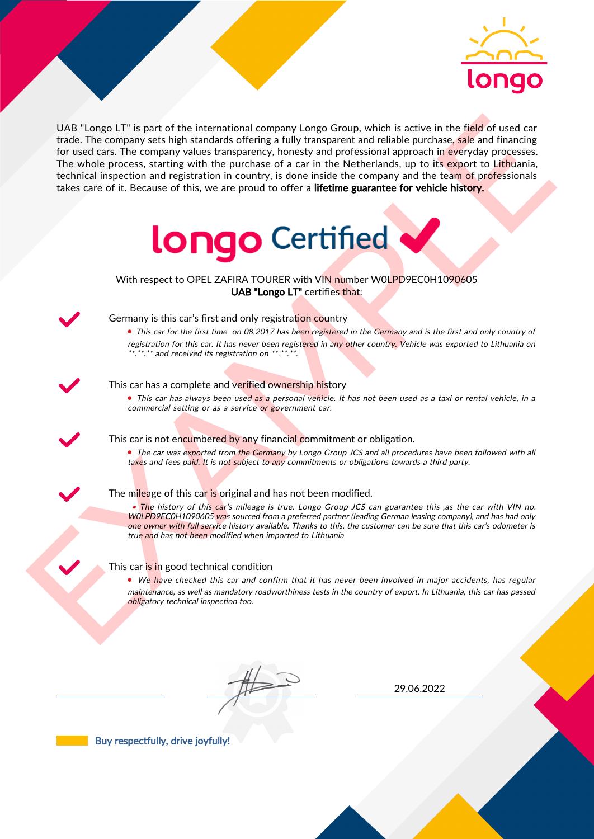

UAS "Lange LI" is part of the interactional company longe Group, which is active in the field of uaso car<br>for the field of the control of the interaction (i.e., the control of the control of the interaction in the Netherl UAB "Longo LT" is part of the international company Longo Group, which is active in the field of used car trade. The company sets high standards offering a fully transparent and reliable purchase, sale and financing for used cars. The company values transparency, honesty and professional approach in everyday processes. The whole process, starting with the purchase of a car in the Netherlands, up to its export to Lithuania, technical inspection and registration in country, is done inside the company and the team of professionals takes care of it. Because of this, we are proud to offer a lifetime guarantee for vehicle history.



With respect to OPEL ZAFIRA TOURER with VIN number W0LPD9EC0H1090605 UAB "Longo LT" certifies that:



## Germany is this car's first and only registration country

• This car for the first time on 08.2017 has been registered in the Germany and is the first and only country of registration for this car. It has never been registered in any other country. Vehicle was exported to Lithuania on \*.\*\*.\*\* and received its registration on \*\*.\*\*.\*\*.

#### This car has a complete and verified ownership history

• This car has always been used as a personal vehicle. It has not been used as a taxi or rental vehicle, in a commercial setting or as a service or government car.



### This car is not encumbered by any financial commitment or obligation.

• The car was exported from the Germany by Longo Group JCS and all procedures have been followed with all taxes and fees paid. It is not subject to any commitments or obligations towards a third party.

#### The mileage of this car is original and has not been modified.

• The history of this car's mileage is true. Longo Group JCS can guarantee this , as the car with VIN no. WOLPD9ECOH1090605 was sourced from a preferred partner (leading German leasing company), and has had only one owner with full service history available. Thanks to this, the customer can be sure that this car's odometer is true and has not been modified when imported to Lithuania

#### This car is in good technical condition

• We have checked this car and confirm that it has never been involved in major accidents, has regular maintenance, as well as mandatory roadworthiness tests in the country of export. In Lithuania, this car has passed obligatory technical inspection too.

29.06.2022

Buy respectfully, drive joyfully!